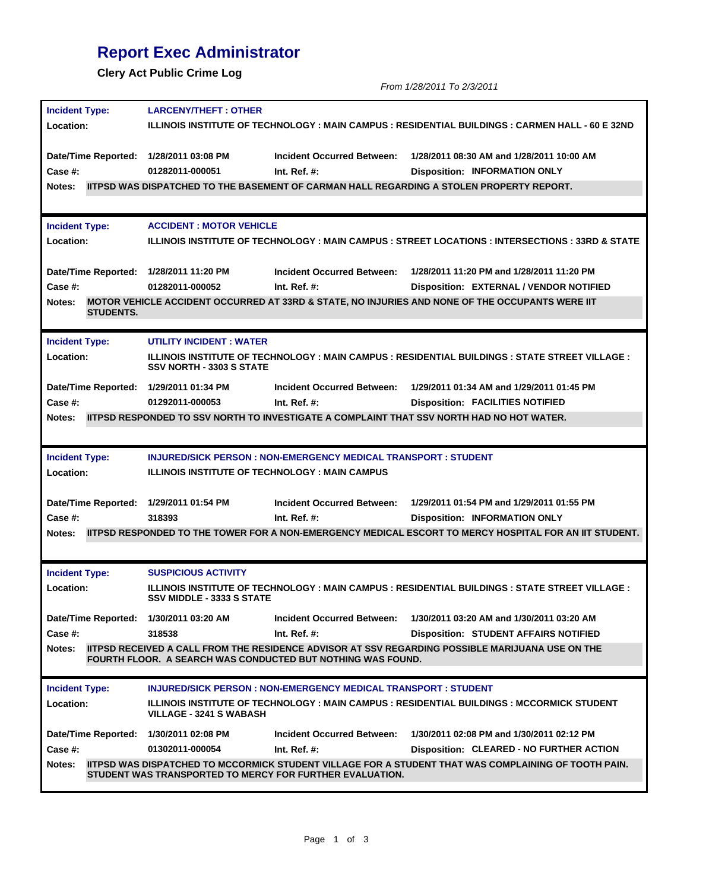## **Report Exec Administrator**

**Clery Act Public Crime Log**

*From 1/28/2011 To 2/3/2011*

| <b>Incident Type:</b>                  | <b>LARCENY/THEFT: OTHER</b>                                                                                                           |                                                                                                  |                                                                                                               |  |  |  |
|----------------------------------------|---------------------------------------------------------------------------------------------------------------------------------------|--------------------------------------------------------------------------------------------------|---------------------------------------------------------------------------------------------------------------|--|--|--|
| <b>Location:</b>                       |                                                                                                                                       |                                                                                                  | ILLINOIS INSTITUTE OF TECHNOLOGY : MAIN CAMPUS : RESIDENTIAL BUILDINGS : CARMEN HALL - 60 E 32ND              |  |  |  |
|                                        |                                                                                                                                       |                                                                                                  |                                                                                                               |  |  |  |
| Date/Time Reported: 1/28/2011 03:08 PM |                                                                                                                                       | <b>Incident Occurred Between:</b>                                                                | 1/28/2011 08:30 AM and 1/28/2011 10:00 AM                                                                     |  |  |  |
| Case #:                                | 01282011-000051                                                                                                                       | Int. Ref. $#$ :                                                                                  | <b>Disposition: INFORMATION ONLY</b>                                                                          |  |  |  |
| <b>Notes:</b>                          |                                                                                                                                       |                                                                                                  | <b>IITPSD WAS DISPATCHED TO THE BASEMENT OF CARMAN HALL REGARDING A STOLEN PROPERTY REPORT.</b>               |  |  |  |
|                                        |                                                                                                                                       |                                                                                                  |                                                                                                               |  |  |  |
| <b>Incident Type:</b>                  | <b>ACCIDENT: MOTOR VEHICLE</b>                                                                                                        |                                                                                                  |                                                                                                               |  |  |  |
| Location:                              |                                                                                                                                       | ILLINOIS INSTITUTE OF TECHNOLOGY : MAIN CAMPUS : STREET LOCATIONS : INTERSECTIONS : 33RD & STATE |                                                                                                               |  |  |  |
|                                        |                                                                                                                                       |                                                                                                  |                                                                                                               |  |  |  |
|                                        | Date/Time Reported: 1/28/2011 11:20 PM                                                                                                | Incident Occurred Between:                                                                       | 1/28/2011 11:20 PM and 1/28/2011 11:20 PM                                                                     |  |  |  |
| Case #:                                | 01282011-000052                                                                                                                       | Int. Ref. $#$ :                                                                                  | Disposition: EXTERNAL / VENDOR NOTIFIED                                                                       |  |  |  |
| Notes:<br><b>STUDENTS.</b>             | MOTOR VEHICLE ACCIDENT OCCURRED AT 33RD & STATE, NO INJURIES AND NONE OF THE OCCUPANTS WERE IIT                                       |                                                                                                  |                                                                                                               |  |  |  |
| <b>Incident Type:</b>                  | UTILITY INCIDENT: WATER                                                                                                               |                                                                                                  |                                                                                                               |  |  |  |
| Location:                              | <b>ILLINOIS INSTITUTE OF TECHNOLOGY: MAIN CAMPUS: RESIDENTIAL BUILDINGS: STATE STREET VILLAGE:</b><br><b>SSV NORTH - 3303 S STATE</b> |                                                                                                  |                                                                                                               |  |  |  |
|                                        | Date/Time Reported: 1/29/2011 01:34 PM                                                                                                | <b>Incident Occurred Between:</b>                                                                | 1/29/2011 01:34 AM and 1/29/2011 01:45 PM                                                                     |  |  |  |
| Case #:                                | 01292011-000053                                                                                                                       | Int. Ref. $#$ :                                                                                  | <b>Disposition: FACILITIES NOTIFIED</b>                                                                       |  |  |  |
| Notes:                                 |                                                                                                                                       |                                                                                                  | IITPSD RESPONDED TO SSV NORTH TO INVESTIGATE A COMPLAINT THAT SSV NORTH HAD NO HOT WATER.                     |  |  |  |
|                                        |                                                                                                                                       |                                                                                                  |                                                                                                               |  |  |  |
|                                        |                                                                                                                                       |                                                                                                  |                                                                                                               |  |  |  |
|                                        |                                                                                                                                       |                                                                                                  |                                                                                                               |  |  |  |
| <b>Incident Type:</b>                  |                                                                                                                                       | <b>INJURED/SICK PERSON : NON-EMERGENCY MEDICAL TRANSPORT : STUDENT</b>                           |                                                                                                               |  |  |  |
| Location:                              |                                                                                                                                       | <b>ILLINOIS INSTITUTE OF TECHNOLOGY: MAIN CAMPUS</b>                                             |                                                                                                               |  |  |  |
|                                        |                                                                                                                                       | <b>Incident Occurred Between:</b>                                                                | 1/29/2011 01:54 PM and 1/29/2011 01:55 PM                                                                     |  |  |  |
| Case #:                                | Date/Time Reported: 1/29/2011 01:54 PM<br>318393                                                                                      | Int. Ref. $#$ :                                                                                  | <b>Disposition: INFORMATION ONLY</b>                                                                          |  |  |  |
| Notes:                                 |                                                                                                                                       |                                                                                                  | <b>IITPSD RESPONDED TO THE TOWER FOR A NON-EMERGENCY MEDICAL ESCORT TO MERCY HOSPITAL FOR AN IIT STUDENT.</b> |  |  |  |
|                                        |                                                                                                                                       |                                                                                                  |                                                                                                               |  |  |  |
|                                        |                                                                                                                                       |                                                                                                  |                                                                                                               |  |  |  |
| <b>Incident Type:</b>                  | <b>SUSPICIOUS ACTIVITY</b>                                                                                                            |                                                                                                  |                                                                                                               |  |  |  |
| Location:                              | <b>SSV MIDDLE - 3333 S STATE</b>                                                                                                      |                                                                                                  | <b>ILLINOIS INSTITUTE OF TECHNOLOGY : MAIN CAMPUS : RESIDENTIAL BUILDINGS : STATE STREET VILLAGE :</b>        |  |  |  |
|                                        | Date/Time Reported: 1/30/2011 03:20 AM                                                                                                | <b>Incident Occurred Between:</b>                                                                | 1/30/2011 03:20 AM and 1/30/2011 03:20 AM                                                                     |  |  |  |
| Case #:                                | 318538                                                                                                                                | Int. Ref. $#$ :                                                                                  | <b>Disposition: STUDENT AFFAIRS NOTIFIED</b>                                                                  |  |  |  |
| Notes:                                 |                                                                                                                                       | FOURTH FLOOR. A SEARCH WAS CONDUCTED BUT NOTHING WAS FOUND.                                      | <b>IITPSD RECEIVED A CALL FROM THE RESIDENCE ADVISOR AT SSV REGARDING POSSIBLE MARIJUANA USE ON THE</b>       |  |  |  |
|                                        |                                                                                                                                       | <b>INJURED/SICK PERSON : NON-EMERGENCY MEDICAL TRANSPORT : STUDENT</b>                           |                                                                                                               |  |  |  |
| <b>Incident Type:</b><br>Location:     | <b>VILLAGE - 3241 S WABASH</b>                                                                                                        |                                                                                                  | ILLINOIS INSTITUTE OF TECHNOLOGY : MAIN CAMPUS : RESIDENTIAL BUILDINGS : MCCORMICK STUDENT                    |  |  |  |
| Date/Time Reported: 1/30/2011 02:08 PM |                                                                                                                                       | <b>Incident Occurred Between:</b>                                                                | 1/30/2011 02:08 PM and 1/30/2011 02:12 PM                                                                     |  |  |  |
| <b>Case #:</b>                         | 01302011-000054                                                                                                                       | Int. Ref. $#$ :                                                                                  | Disposition: CLEARED - NO FURTHER ACTION                                                                      |  |  |  |
| <b>Notes:</b>                          |                                                                                                                                       | STUDENT WAS TRANSPORTED TO MERCY FOR FURTHER EVALUATION.                                         | <b>IITPSD WAS DISPATCHED TO MCCORMICK STUDENT VILLAGE FOR A STUDENT THAT WAS COMPLAINING OF TOOTH PAIN.</b>   |  |  |  |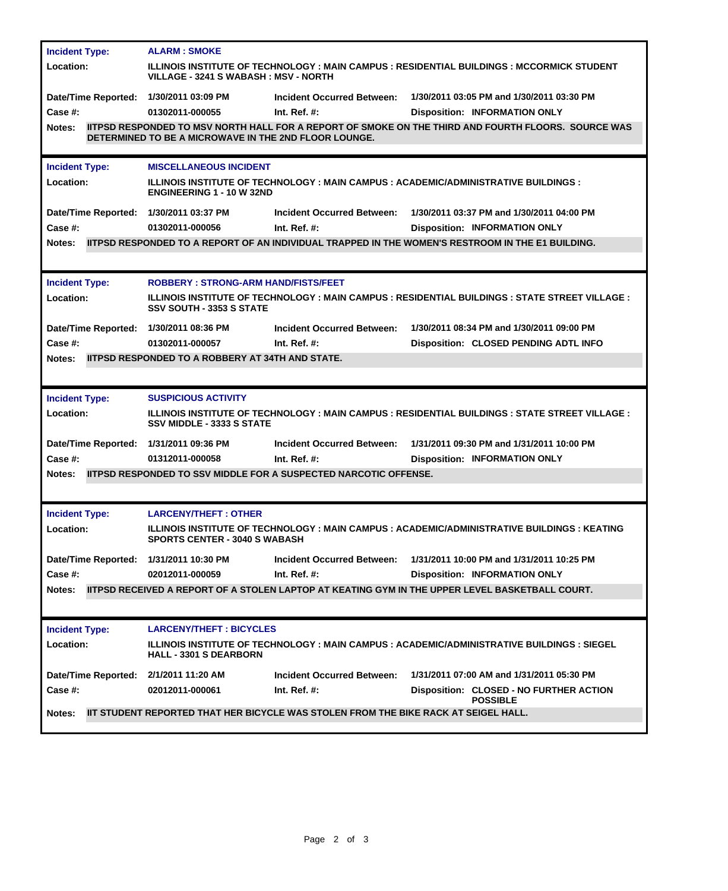| <b>Incident Type:</b>                  | <b>ALARM: SMOKE</b>                                                                                                                       |                                                                         |                                                                                                          |  |  |
|----------------------------------------|-------------------------------------------------------------------------------------------------------------------------------------------|-------------------------------------------------------------------------|----------------------------------------------------------------------------------------------------------|--|--|
| Location:                              | ILLINOIS INSTITUTE OF TECHNOLOGY : MAIN CAMPUS : RESIDENTIAL BUILDINGS : MCCORMICK STUDENT<br><b>VILLAGE - 3241 S WABASH: MSV - NORTH</b> |                                                                         |                                                                                                          |  |  |
| Date/Time Reported: 1/30/2011 03:09 PM |                                                                                                                                           | <b>Incident Occurred Between:</b>                                       | 1/30/2011 03:05 PM and 1/30/2011 03:30 PM                                                                |  |  |
| Case #:                                | 01302011-000055                                                                                                                           | Int. Ref. $#$ :                                                         | <b>Disposition: INFORMATION ONLY</b>                                                                     |  |  |
| <b>Notes:</b>                          | DETERMINED TO BE A MICROWAVE IN THE 2ND FLOOR LOUNGE.                                                                                     |                                                                         | IITPSD RESPONDED TO MSV NORTH HALL FOR A REPORT OF SMOKE ON THE THIRD AND FOURTH FLOORS. SOURCE WAS      |  |  |
| <b>Incident Type:</b>                  | <b>MISCELLANEOUS INCIDENT</b>                                                                                                             |                                                                         |                                                                                                          |  |  |
| Location:                              | <b>ILLINOIS INSTITUTE OF TECHNOLOGY : MAIN CAMPUS : ACADEMIC/ADMINISTRATIVE BUILDINGS :</b><br><b>ENGINEERING 1 - 10 W 32ND</b>           |                                                                         |                                                                                                          |  |  |
| Date/Time Reported: 1/30/2011 03:37 PM |                                                                                                                                           | <b>Incident Occurred Between:</b>                                       | 1/30/2011 03:37 PM and 1/30/2011 04:00 PM                                                                |  |  |
| Case #:                                | 01302011-000056                                                                                                                           | Int. Ref. $#$ :                                                         | <b>Disposition: INFORMATION ONLY</b>                                                                     |  |  |
| Notes:                                 |                                                                                                                                           |                                                                         | <b>IITPSD RESPONDED TO A REPORT OF AN INDIVIDUAL TRAPPED IN THE WOMEN'S RESTROOM IN THE E1 BUILDING.</b> |  |  |
|                                        |                                                                                                                                           |                                                                         |                                                                                                          |  |  |
| <b>Incident Type:</b>                  | <b>ROBBERY: STRONG-ARM HAND/FISTS/FEET</b>                                                                                                |                                                                         |                                                                                                          |  |  |
| Location:                              | <b>ILLINOIS INSTITUTE OF TECHNOLOGY : MAIN CAMPUS : RESIDENTIAL BUILDINGS : STATE STREET VILLAGE :</b><br><b>SSV SOUTH - 3353 S STATE</b> |                                                                         |                                                                                                          |  |  |
| Date/Time Reported: 1/30/2011 08:36 PM |                                                                                                                                           | <b>Incident Occurred Between:</b>                                       | 1/30/2011 08:34 PM and 1/30/2011 09:00 PM                                                                |  |  |
| Case #:                                | 01302011-000057                                                                                                                           | Int. Ref. $#$ :                                                         | Disposition: CLOSED PENDING ADTL INFO                                                                    |  |  |
| <b>Notes:</b>                          | <b>IITPSD RESPONDED TO A ROBBERY AT 34TH AND STATE.</b>                                                                                   |                                                                         |                                                                                                          |  |  |
|                                        |                                                                                                                                           |                                                                         |                                                                                                          |  |  |
| <b>Incident Type:</b>                  | <b>SUSPICIOUS ACTIVITY</b>                                                                                                                |                                                                         |                                                                                                          |  |  |
| Location:                              | <b>SSV MIDDLE - 3333 S STATE</b>                                                                                                          |                                                                         | <b>ILLINOIS INSTITUTE OF TECHNOLOGY : MAIN CAMPUS : RESIDENTIAL BUILDINGS : STATE STREET VILLAGE :</b>   |  |  |
| Date/Time Reported: 1/31/2011 09:36 PM |                                                                                                                                           | <b>Incident Occurred Between:</b>                                       | 1/31/2011 09:30 PM and 1/31/2011 10:00 PM                                                                |  |  |
| Case #:                                | 01312011-000058                                                                                                                           | Int. Ref. $#$ :                                                         | <b>Disposition: INFORMATION ONLY</b>                                                                     |  |  |
| Notes:                                 |                                                                                                                                           | <b>IITPSD RESPONDED TO SSV MIDDLE FOR A SUSPECTED NARCOTIC OFFENSE.</b> |                                                                                                          |  |  |
|                                        |                                                                                                                                           |                                                                         |                                                                                                          |  |  |
| <b>Incident Type:</b>                  | <b>LARCENY/THEFT: OTHER</b>                                                                                                               |                                                                         |                                                                                                          |  |  |
| Location:                              | <b>SPORTS CENTER - 3040 S WABASH</b>                                                                                                      |                                                                         | ILLINOIS INSTITUTE OF TECHNOLOGY : MAIN CAMPUS : ACADEMIC/ADMINISTRATIVE BUILDINGS : KEATING             |  |  |
| Date/Time Reported: 1/31/2011 10:30 PM |                                                                                                                                           | <b>Incident Occurred Between:</b>                                       | 1/31/2011 10:00 PM and 1/31/2011 10:25 PM                                                                |  |  |
| Case #:                                | 02012011-000059                                                                                                                           | Int. Ref. $#$ :                                                         | <b>Disposition: INFORMATION ONLY</b>                                                                     |  |  |
| Notes:                                 |                                                                                                                                           |                                                                         | IITPSD RECEIVED A REPORT OF A STOLEN LAPTOP AT KEATING GYM IN THE UPPER LEVEL BASKETBALL COURT.          |  |  |
|                                        |                                                                                                                                           |                                                                         |                                                                                                          |  |  |
|                                        | <b>LARCENY/THEFT: BICYCLES</b>                                                                                                            |                                                                         |                                                                                                          |  |  |
| <b>Incident Type:</b><br>Location:     | <b>HALL - 3301 S DEARBORN</b>                                                                                                             |                                                                         | ILLINOIS INSTITUTE OF TECHNOLOGY : MAIN CAMPUS : ACADEMIC/ADMINISTRATIVE BUILDINGS : SIEGEL              |  |  |
| Date/Time Reported: 2/1/2011 11:20 AM  |                                                                                                                                           | <b>Incident Occurred Between:</b>                                       | 1/31/2011 07:00 AM and 1/31/2011 05:30 PM                                                                |  |  |
| Case #:                                | 02012011-000061                                                                                                                           | Int. Ref. $#$ :                                                         | Disposition: CLOSED - NO FURTHER ACTION<br><b>POSSIBLE</b>                                               |  |  |